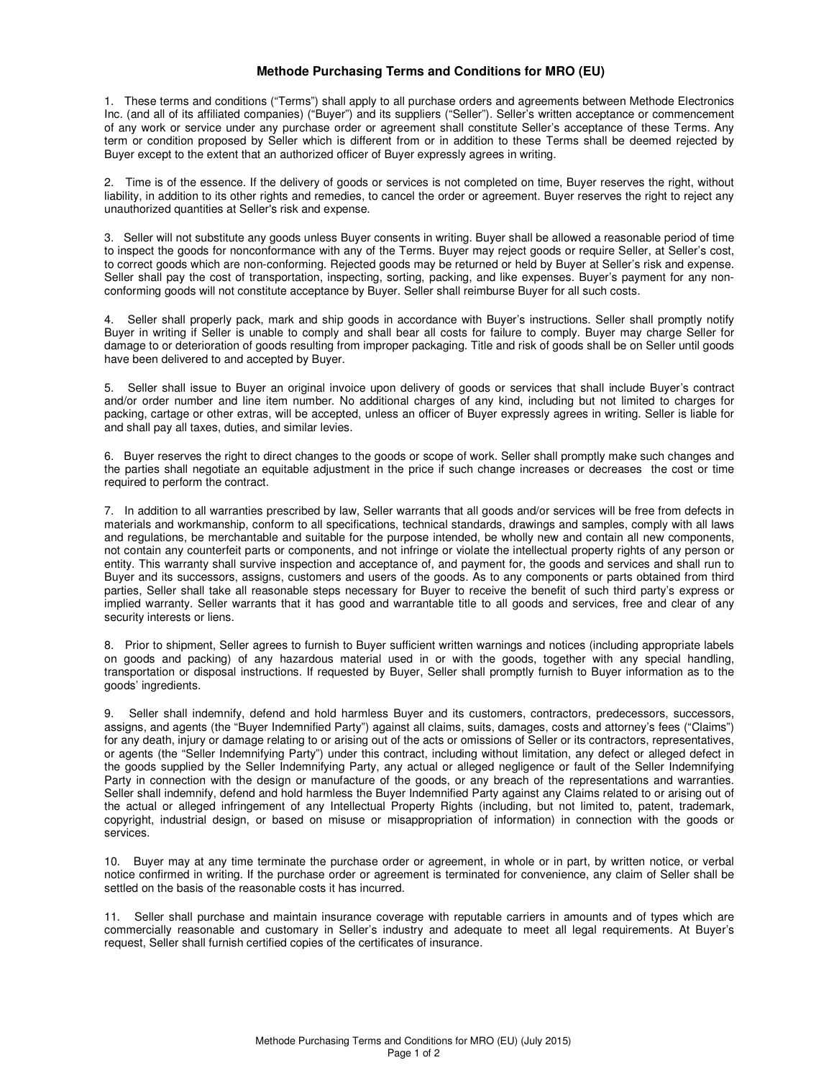## **Methode Purchasing Terms and Conditions for MRO (EU)**

1. These terms and conditions ("Terms") shall apply to all purchase orders and agreements between Methode Electronics Inc. (and all of its affiliated companies) ("Buyer") and its suppliers ("Seller"). Seller's written acceptance or commencement of any work or service under any purchase order or agreement shall constitute Seller's acceptance of these Terms. Any term or condition proposed by Seller which is different from or in addition to these Terms shall be deemed rejected by Buyer except to the extent that an authorized officer of Buyer expressly agrees in writing.

2. Time is of the essence. If the delivery of goods or services is not completed on time, Buyer reserves the right, without liability, in addition to its other rights and remedies, to cancel the order or agreement. Buyer reserves the right to reject any unauthorized quantities at Seller's risk and expense.

3. Seller will not substitute any goods unless Buyer consents in writing. Buyer shall be allowed a reasonable period of time to inspect the goods for nonconformance with any of the Terms. Buyer may reject goods or require Seller, at Seller's cost, to correct goods which are non-conforming. Rejected goods may be returned or held by Buyer at Seller's risk and expense. Seller shall pay the cost of transportation, inspecting, sorting, packing, and like expenses. Buyer's payment for any nonconforming goods will not constitute acceptance by Buyer. Seller shall reimburse Buyer for all such costs.

4. Seller shall properly pack, mark and ship goods in accordance with Buyer's instructions. Seller shall promptly notify Buyer in writing if Seller is unable to comply and shall bear all costs for failure to comply. Buyer may charge Seller for damage to or deterioration of goods resulting from improper packaging. Title and risk of goods shall be on Seller until goods have been delivered to and accepted by Buyer.

5. Seller shall issue to Buyer an original invoice upon delivery of goods or services that shall include Buyer's contract and/or order number and line item number. No additional charges of any kind, including but not limited to charges for packing, cartage or other extras, will be accepted, unless an officer of Buyer expressly agrees in writing. Seller is liable for and shall pay all taxes, duties, and similar levies.

6. Buyer reserves the right to direct changes to the goods or scope of work. Seller shall promptly make such changes and the parties shall negotiate an equitable adjustment in the price if such change increases or decreases the cost or time required to perform the contract.

7. In addition to all warranties prescribed by law, Seller warrants that all goods and/or services will be free from defects in materials and workmanship, conform to all specifications, technical standards, drawings and samples, comply with all laws and regulations, be merchantable and suitable for the purpose intended, be wholly new and contain all new components, not contain any counterfeit parts or components, and not infringe or violate the intellectual property rights of any person or entity. This warranty shall survive inspection and acceptance of, and payment for, the goods and services and shall run to Buyer and its successors, assigns, customers and users of the goods. As to any components or parts obtained from third parties, Seller shall take all reasonable steps necessary for Buyer to receive the benefit of such third party's express or implied warranty. Seller warrants that it has good and warrantable title to all goods and services, free and clear of any security interests or liens.

8. Prior to shipment, Seller agrees to furnish to Buyer sufficient written warnings and notices (including appropriate labels on goods and packing) of any hazardous material used in or with the goods, together with any special handling, transportation or disposal instructions. If requested by Buyer, Seller shall promptly furnish to Buyer information as to the goods' ingredients.

9. Seller shall indemnify, defend and hold harmless Buyer and its customers, contractors, predecessors, successors, assigns, and agents (the "Buyer Indemnified Party") against all claims, suits, damages, costs and attorney's fees ("Claims") for any death, injury or damage relating to or arising out of the acts or omissions of Seller or its contractors, representatives, or agents (the "Seller Indemnifying Party") under this contract, including without limitation, any defect or alleged defect in the goods supplied by the Seller Indemnifying Party, any actual or alleged negligence or fault of the Seller Indemnifying Party in connection with the design or manufacture of the goods, or any breach of the representations and warranties. Seller shall indemnify, defend and hold harmless the Buyer Indemnified Party against any Claims related to or arising out of the actual or alleged infringement of any Intellectual Property Rights (including, but not limited to, patent, trademark, copyright, industrial design, or based on misuse or misappropriation of information) in connection with the goods or services.

10. Buyer may at any time terminate the purchase order or agreement, in whole or in part, by written notice, or verbal notice confirmed in writing. If the purchase order or agreement is terminated for convenience, any claim of Seller shall be settled on the basis of the reasonable costs it has incurred.

11. Seller shall purchase and maintain insurance coverage with reputable carriers in amounts and of types which are commercially reasonable and customary in Seller's industry and adequate to meet all legal requirements. At Buyer's request, Seller shall furnish certified copies of the certificates of insurance.